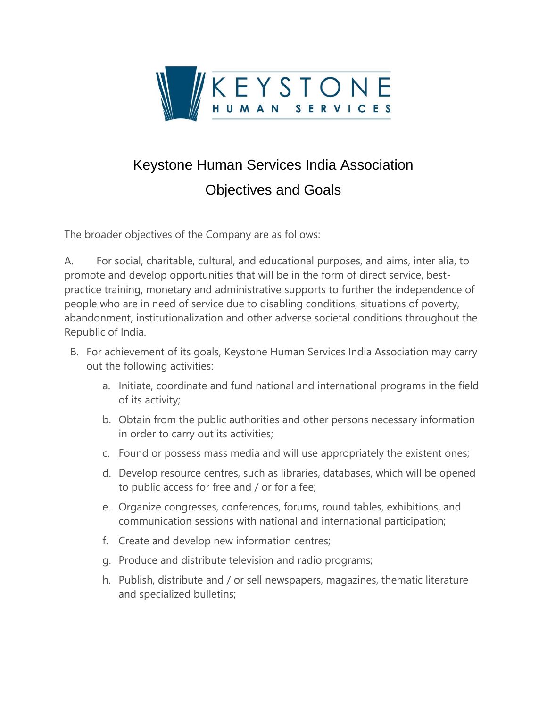

## Keystone Human Services India Association Objectives and Goals

The broader objectives of the Company are as follows:

A. For social, charitable, cultural, and educational purposes, and aims, inter alia, to promote and develop opportunities that will be in the form of direct service, bestpractice training, monetary and administrative supports to further the independence of people who are in need of service due to disabling conditions, situations of poverty, abandonment, institutionalization and other adverse societal conditions throughout the Republic of India.

- B. For achievement of its goals, Keystone Human Services India Association may carry out the following activities:
	- a. Initiate, coordinate and fund national and international programs in the field of its activity;
	- b. Obtain from the public authorities and other persons necessary information in order to carry out its activities;
	- c. Found or possess mass media and will use appropriately the existent ones;
	- d. Develop resource centres, such as libraries, databases, which will be opened to public access for free and / or for a fee;
	- e. Organize congresses, conferences, forums, round tables, exhibitions, and communication sessions with national and international participation;
	- f. Create and develop new information centres;
	- g. Produce and distribute television and radio programs;
	- h. Publish, distribute and / or sell newspapers, magazines, thematic literature and specialized bulletins;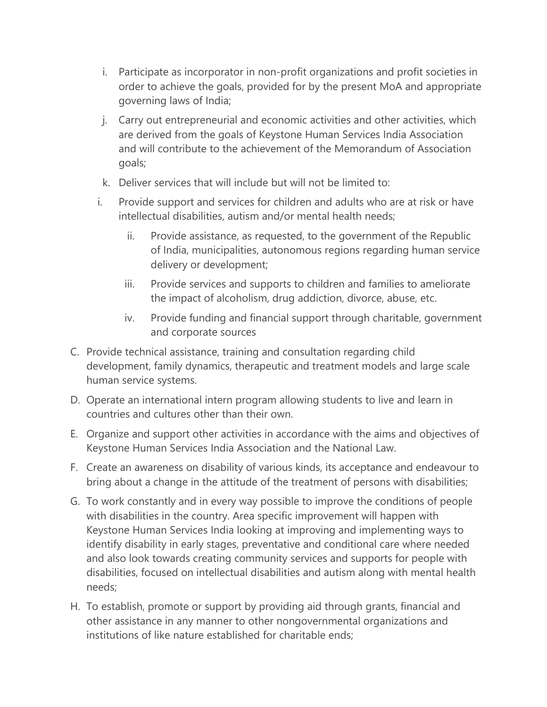- i. Participate as incorporator in non-profit organizations and profit societies in order to achieve the goals, provided for by the present MoA and appropriate governing laws of India;
- j. Carry out entrepreneurial and economic activities and other activities, which are derived from the goals of Keystone Human Services India Association and will contribute to the achievement of the Memorandum of Association goals;
- k. Deliver services that will include but will not be limited to:
- i. Provide support and services for children and adults who are at risk or have intellectual disabilities, autism and/or mental health needs;
	- ii. Provide assistance, as requested, to the government of the Republic of India, municipalities, autonomous regions regarding human service delivery or development;
	- iii. Provide services and supports to children and families to ameliorate the impact of alcoholism, drug addiction, divorce, abuse, etc.
	- iv. Provide funding and financial support through charitable, government and corporate sources
- C. Provide technical assistance, training and consultation regarding child development, family dynamics, therapeutic and treatment models and large scale human service systems.
- D. Operate an international intern program allowing students to live and learn in countries and cultures other than their own.
- E. Organize and support other activities in accordance with the aims and objectives of Keystone Human Services India Association and the National Law.
- F. Create an awareness on disability of various kinds, its acceptance and endeavour to bring about a change in the attitude of the treatment of persons with disabilities;
- G. To work constantly and in every way possible to improve the conditions of people with disabilities in the country. Area specific improvement will happen with Keystone Human Services India looking at improving and implementing ways to identify disability in early stages, preventative and conditional care where needed and also look towards creating community services and supports for people with disabilities, focused on intellectual disabilities and autism along with mental health needs;
- H. To establish, promote or support by providing aid through grants, financial and other assistance in any manner to other nongovernmental organizations and institutions of like nature established for charitable ends;